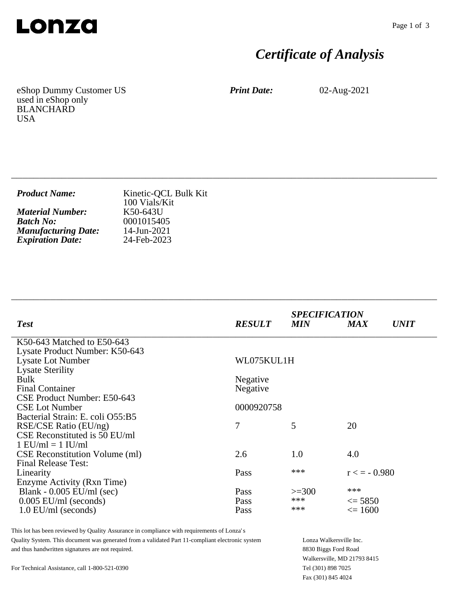

# *Certificate of Analysis*

eShop Dummy Customer US used in eShop only BLANCHARD USA

*Print Date:* 02-Aug-2021

| <b>Product Name:</b>       | Kinetic-QCL Bulk Kit<br>100 Vials/Kit |
|----------------------------|---------------------------------------|
| <b>Material Number:</b>    | K50-643U                              |
| <b>Batch No:</b>           | 0001015405                            |
| <b>Manufacturing Date:</b> | 14-Jun-2021                           |
| <b>Expiration Date:</b>    | 24-Feb-2023                           |

\_\_\_\_\_\_\_\_\_\_\_\_\_\_\_\_\_\_\_\_\_\_\_\_\_\_\_\_\_\_\_\_\_\_\_\_\_\_\_\_\_\_\_\_\_\_\_\_\_\_\_\_\_\_\_\_\_\_\_\_\_\_\_\_\_\_\_\_\_\_\_\_\_\_\_\_

\_\_\_\_\_\_\_\_\_\_\_\_\_\_\_\_\_\_\_\_\_\_\_\_\_\_\_\_\_\_\_\_\_\_\_\_\_\_\_\_\_\_\_\_\_\_\_\_\_\_\_\_\_\_\_\_\_\_\_\_\_\_\_\_\_\_\_\_\_\_\_\_\_\_\_\_

| <b>Test</b>                           | <b>RESULT</b> | <b>SPECIFICATION</b><br><b>MIN</b> | <b>MAX</b>        | <i>UNIT</i> |
|---------------------------------------|---------------|------------------------------------|-------------------|-------------|
| K50-643 Matched to E50-643            |               |                                    |                   |             |
| Lysate Product Number: K50-643        |               |                                    |                   |             |
| <b>Lysate Lot Number</b>              | WL075KUL1H    |                                    |                   |             |
| <b>Lysate Sterility</b>               |               |                                    |                   |             |
| <b>Bulk</b>                           | Negative      |                                    |                   |             |
| <b>Final Container</b>                | Negative      |                                    |                   |             |
| CSE Product Number: E50-643           |               |                                    |                   |             |
| <b>CSE Lot Number</b>                 | 0000920758    |                                    |                   |             |
| Bacterial Strain: E. coli O55:B5      |               |                                    |                   |             |
| RSE/CSE Ratio (EU/ng)                 | 7             | 5                                  | 20                |             |
| CSE Reconstituted is 50 EU/ml         |               |                                    |                   |             |
| $1$ EU/ml = $1$ IU/ml                 |               |                                    |                   |             |
| <b>CSE Reconstitution Volume (ml)</b> | 2.6           | 1.0                                | 4.0               |             |
| <b>Final Release Test:</b>            |               |                                    |                   |             |
| Linearity                             | Pass          | ***                                | $r \leq -0.980$   |             |
| Enzyme Activity (Rxn Time)            |               |                                    |                   |             |
| Blank - $0.005$ EU/ml (sec)           | Pass          | $>=300$                            | ***               |             |
| $0.005$ EU/ml (seconds)               | Pass          | ***                                | $\leq$ 5850       |             |
| $1.0$ EU/ml (seconds)                 | Pass          | ***                                | $\epsilon = 1600$ |             |
|                                       |               |                                    |                   |             |

This lot has been reviewed by Quality Assurance in compliance with requirements of Lonza's Quality System. This document was generated from a validated Part 11-compliant electronic system and thus handwritten signatures are not required.

For Technical Assistance, call 1-800-521-0390

Lonza Walkersville Inc. 8830 Biggs Ford Road Walkersville, MD 21793 8415 Tel (301) 898 7025 Fax (301) 845 4024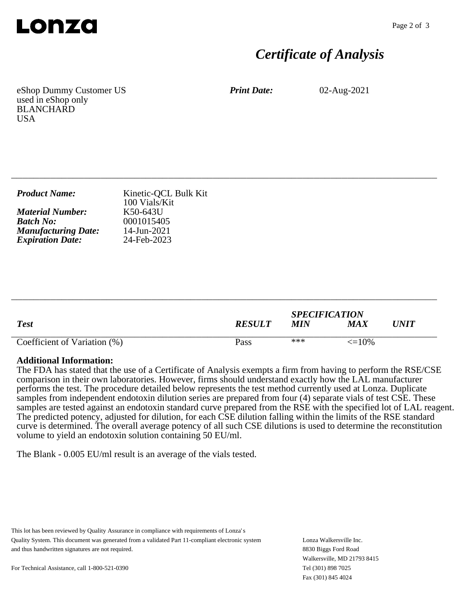

## *Certificate of Analysis*

eShop Dummy Customer US used in eShop only BLANCHARD **USA** 

*Print Date:* 02-Aug-2021

| <b>Product Name:</b>       | Kinetic-QCL Bulk Kit<br>100 Vials/Kit |
|----------------------------|---------------------------------------|
| <b>Material Number:</b>    | K50-643U                              |
| <b>Batch No:</b>           | 0001015405                            |
| <b>Manufacturing Date:</b> | 14-Jun-2021                           |
| <b>Expiration Date:</b>    | 24-Feb-2023                           |

\_\_\_\_\_\_\_\_\_\_\_\_\_\_\_\_\_\_\_\_\_\_\_\_\_\_\_\_\_\_\_\_\_\_\_\_\_\_\_\_\_\_\_\_\_\_\_\_\_\_\_\_\_\_\_\_\_\_\_\_\_\_\_\_\_\_\_\_\_\_\_\_\_\_\_\_

| <b>Test</b>                  | <b>RESULT</b> | <b>SPECIFICATION</b><br><b>MIN</b> | $\boldsymbol{MAX}$ | UNIT |
|------------------------------|---------------|------------------------------------|--------------------|------|
| Coefficient of Variation (%) | Pass          | ***                                | $\leq$ = 10%       |      |

\_\_\_\_\_\_\_\_\_\_\_\_\_\_\_\_\_\_\_\_\_\_\_\_\_\_\_\_\_\_\_\_\_\_\_\_\_\_\_\_\_\_\_\_\_\_\_\_\_\_\_\_\_\_\_\_\_\_\_\_\_\_\_\_\_\_\_\_\_\_\_\_\_\_\_\_

#### **Additional Information:**

The FDA has stated that the use of a Certificate of Analysis exempts a firm from having to perform the RSE/CSE comparison in their own laboratories. However, firms should understand exactly how the LAL manufacturer performs the test. The procedure detailed below represents the test method currently used at Lonza. Duplicate samples from independent endotoxin dilution series are prepared from four (4) separate vials of test CSE. These samples are tested against an endotoxin standard curve prepared from the RSE with the specified lot of LAL reagent. The predicted potency, adjusted for dilution, for each CSE dilution falling within the limits of the RSE standard curve is determined. The overall average potency of all such CSE dilutions is used to determine the reconstitution volume to yield an endotoxin solution containing 50 EU/ml.

The Blank - 0.005 EU/ml result is an average of the vials tested.

This lot has been reviewed by Quality Assurance in compliance with requirements of Lonza's Quality System. This document was generated from a validated Part 11-compliant electronic system and thus handwritten signatures are not required.

Lonza Walkersville Inc. 8830 Biggs Ford Road Walkersville, MD 21793 8415 Tel (301) 898 7025 Fax (301) 845 4024

For Technical Assistance, call 1-800-521-0390